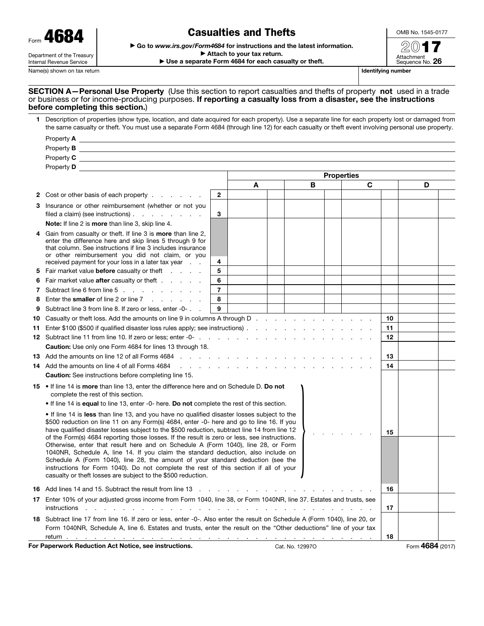| 68<br>4<br>Form                                        |
|--------------------------------------------------------|
| Department of the Treasury<br>Internal Revenue Service |

# Casualties and Thefts

▶ Go to *www.irs.gov/Form4684* for instructions and the latest information.

▶ Attach to your tax return. ▶ Use a separate Form 4684 for each casualty or theft.



Name(s) shown on tax return **Identifying number** Identifying number

### SECTION A-Personal Use Property (Use this section to report casualties and thefts of property not used in a trade or business or for income-producing purposes. If reporting a casualty loss from a disaster, see the instructions before completing this section.)

| Description of properties (show type, location, and date acquired for each property). Use a separate line for each property lost or damaged from<br>the same casualty or theft. You must use a separate Form 4684 (through line 12) for each casualty or theft event involving personal use property. |
|-------------------------------------------------------------------------------------------------------------------------------------------------------------------------------------------------------------------------------------------------------------------------------------------------------|
| Property <b>A</b>                                                                                                                                                                                                                                                                                     |

|     | Property C and the state of the state of the state of the state of the state of the state of the state of the state of the state of the state of the state of the state of the state of the state of the state of the state of                                                                                                                                                                                                                                                                                                                                                                                                                                                                                                                                                                               |                |                                                                                                                                                                                                                               |                 |   |                   |   |    |                  |  |
|-----|--------------------------------------------------------------------------------------------------------------------------------------------------------------------------------------------------------------------------------------------------------------------------------------------------------------------------------------------------------------------------------------------------------------------------------------------------------------------------------------------------------------------------------------------------------------------------------------------------------------------------------------------------------------------------------------------------------------------------------------------------------------------------------------------------------------|----------------|-------------------------------------------------------------------------------------------------------------------------------------------------------------------------------------------------------------------------------|-----------------|---|-------------------|---|----|------------------|--|
|     | Property Design and the contract of the contract of the contract of the contract of the contract of the contract of the contract of the contract of the contract of the contract of the contract of the contract of the contra                                                                                                                                                                                                                                                                                                                                                                                                                                                                                                                                                                               |                |                                                                                                                                                                                                                               |                 |   |                   |   |    |                  |  |
|     |                                                                                                                                                                                                                                                                                                                                                                                                                                                                                                                                                                                                                                                                                                                                                                                                              |                |                                                                                                                                                                                                                               |                 |   | <b>Properties</b> |   |    |                  |  |
|     |                                                                                                                                                                                                                                                                                                                                                                                                                                                                                                                                                                                                                                                                                                                                                                                                              |                | A                                                                                                                                                                                                                             |                 | В |                   | C |    | D                |  |
|     | 2 Cost or other basis of each property                                                                                                                                                                                                                                                                                                                                                                                                                                                                                                                                                                                                                                                                                                                                                                       | $\overline{2}$ |                                                                                                                                                                                                                               |                 |   |                   |   |    |                  |  |
| 3.  | Insurance or other reimbursement (whether or not you<br>filed a claim) (see instructions) $\ldots$ $\ldots$ $\ldots$                                                                                                                                                                                                                                                                                                                                                                                                                                                                                                                                                                                                                                                                                         | 3              |                                                                                                                                                                                                                               |                 |   |                   |   |    |                  |  |
|     | Note: If line 2 is more than line 3, skip line 4.                                                                                                                                                                                                                                                                                                                                                                                                                                                                                                                                                                                                                                                                                                                                                            |                |                                                                                                                                                                                                                               |                 |   |                   |   |    |                  |  |
|     | Gain from casualty or theft. If line 3 is <b>more</b> than line 2,<br>enter the difference here and skip lines 5 through 9 for<br>that column. See instructions if line 3 includes insurance<br>or other reimbursement you did not claim, or you<br>received payment for your loss in a later tax year                                                                                                                                                                                                                                                                                                                                                                                                                                                                                                       | $\overline{4}$ |                                                                                                                                                                                                                               |                 |   |                   |   |    |                  |  |
|     | 5 Fair market value before casualty or theft                                                                                                                                                                                                                                                                                                                                                                                                                                                                                                                                                                                                                                                                                                                                                                 | 5              |                                                                                                                                                                                                                               |                 |   |                   |   |    |                  |  |
| 6   | Fair market value <b>after</b> casualty or theft                                                                                                                                                                                                                                                                                                                                                                                                                                                                                                                                                                                                                                                                                                                                                             | 6              |                                                                                                                                                                                                                               |                 |   |                   |   |    |                  |  |
| 7   | Subtract line 6 from line 5                                                                                                                                                                                                                                                                                                                                                                                                                                                                                                                                                                                                                                                                                                                                                                                  | $\overline{7}$ |                                                                                                                                                                                                                               |                 |   |                   |   |    |                  |  |
| 8   | Enter the <b>smaller</b> of line 2 or line $7 \cdot \cdot \cdot \cdot \cdot$                                                                                                                                                                                                                                                                                                                                                                                                                                                                                                                                                                                                                                                                                                                                 | 8              |                                                                                                                                                                                                                               |                 |   |                   |   |    |                  |  |
| 9   | Subtract line 3 from line 8. If zero or less, enter -0-                                                                                                                                                                                                                                                                                                                                                                                                                                                                                                                                                                                                                                                                                                                                                      | 9              |                                                                                                                                                                                                                               |                 |   |                   |   |    |                  |  |
| 10  | Casualty or the ft loss. Add the amounts on line 9 in columns A through D.                                                                                                                                                                                                                                                                                                                                                                                                                                                                                                                                                                                                                                                                                                                                   |                |                                                                                                                                                                                                                               |                 |   |                   |   | 10 |                  |  |
| 11. | Enter \$100 (\$500 if qualified disaster loss rules apply; see instructions).                                                                                                                                                                                                                                                                                                                                                                                                                                                                                                                                                                                                                                                                                                                                |                |                                                                                                                                                                                                                               |                 |   |                   |   | 11 |                  |  |
|     |                                                                                                                                                                                                                                                                                                                                                                                                                                                                                                                                                                                                                                                                                                                                                                                                              |                |                                                                                                                                                                                                                               |                 |   |                   |   | 12 |                  |  |
|     | <b>Caution:</b> Use only one Form 4684 for lines 13 through 18.                                                                                                                                                                                                                                                                                                                                                                                                                                                                                                                                                                                                                                                                                                                                              |                |                                                                                                                                                                                                                               |                 |   |                   |   |    |                  |  |
|     | 13 Add the amounts on line 12 of all Forms 4684 <b>contained a set of the container and the container</b> to the conta                                                                                                                                                                                                                                                                                                                                                                                                                                                                                                                                                                                                                                                                                       |                |                                                                                                                                                                                                                               |                 |   |                   |   |    |                  |  |
|     | 14 Add the amounts on line 4 of all Forms 4684                                                                                                                                                                                                                                                                                                                                                                                                                                                                                                                                                                                                                                                                                                                                                               |                | a construction of the construction of the construction of the construction of the construction of the construction of the construction of the construction of the construction of the construction of the construction of the |                 |   |                   |   | 14 |                  |  |
|     | <b>Caution:</b> See instructions before completing line 15.                                                                                                                                                                                                                                                                                                                                                                                                                                                                                                                                                                                                                                                                                                                                                  |                |                                                                                                                                                                                                                               |                 |   |                   |   |    |                  |  |
|     | 15 • If line 14 is more than line 13, enter the difference here and on Schedule D. Do not<br>complete the rest of this section.                                                                                                                                                                                                                                                                                                                                                                                                                                                                                                                                                                                                                                                                              |                |                                                                                                                                                                                                                               |                 |   |                   |   |    |                  |  |
|     | • If line 14 is equal to line 13, enter -0- here. Do not complete the rest of this section.                                                                                                                                                                                                                                                                                                                                                                                                                                                                                                                                                                                                                                                                                                                  |                |                                                                                                                                                                                                                               |                 |   |                   |   |    |                  |  |
|     | • If line 14 is less than line 13, and you have no qualified disaster losses subject to the<br>\$500 reduction on line 11 on any Form(s) 4684, enter -0- here and go to line 16. If you<br>have qualified disaster losses subject to the \$500 reduction, subtract line 14 from line 12<br>of the Form(s) 4684 reporting those losses. If the result is zero or less, see instructions.<br>Otherwise, enter that result here and on Schedule A (Form 1040), line 28, or Form<br>1040NR, Schedule A, line 14. If you claim the standard deduction, also include on<br>Schedule A (Form 1040), line 28, the amount of your standard deduction (see the<br>instructions for Form 1040). Do not complete the rest of this section if all of your<br>casualty or theft losses are subject to the \$500 reduction. |                |                                                                                                                                                                                                                               |                 |   |                   |   | 15 |                  |  |
|     | <b>16</b> Add lines 14 and 15. Subtract the result from line 13 and a subset of the context of the context of the result from line 13 and a subset of the context of the context of the result of the context of the context of the                                                                                                                                                                                                                                                                                                                                                                                                                                                                                                                                                                          |                |                                                                                                                                                                                                                               |                 |   |                   |   | 16 |                  |  |
|     | 17 Enter 10% of your adjusted gross income from Form 1040, line 38, or Form 1040NR, line 37. Estates and trusts, see                                                                                                                                                                                                                                                                                                                                                                                                                                                                                                                                                                                                                                                                                         |                |                                                                                                                                                                                                                               |                 |   |                   |   |    |                  |  |
|     |                                                                                                                                                                                                                                                                                                                                                                                                                                                                                                                                                                                                                                                                                                                                                                                                              |                |                                                                                                                                                                                                                               |                 |   |                   |   | 17 |                  |  |
|     | 18 Subtract line 17 from line 16. If zero or less, enter -0-. Also enter the result on Schedule A (Form 1040), line 20, or                                                                                                                                                                                                                                                                                                                                                                                                                                                                                                                                                                                                                                                                                   |                |                                                                                                                                                                                                                               |                 |   |                   |   |    |                  |  |
|     | Form 1040NR. Schedule A, line 6, Estates and trusts, enter the result on the "Other deductions" line of vour tax                                                                                                                                                                                                                                                                                                                                                                                                                                                                                                                                                                                                                                                                                             |                |                                                                                                                                                                                                                               |                 |   |                   |   |    |                  |  |
|     | return.<br>the contract of the contract of the contract of the contract of the contract of the                                                                                                                                                                                                                                                                                                                                                                                                                                                                                                                                                                                                                                                                                                               |                |                                                                                                                                                                                                                               |                 |   |                   |   | 18 |                  |  |
|     | For Paperwork Reduction Act Notice, see instructions.                                                                                                                                                                                                                                                                                                                                                                                                                                                                                                                                                                                                                                                                                                                                                        |                |                                                                                                                                                                                                                               | Cat. No. 12997O |   |                   |   |    | Form 4684 (2017) |  |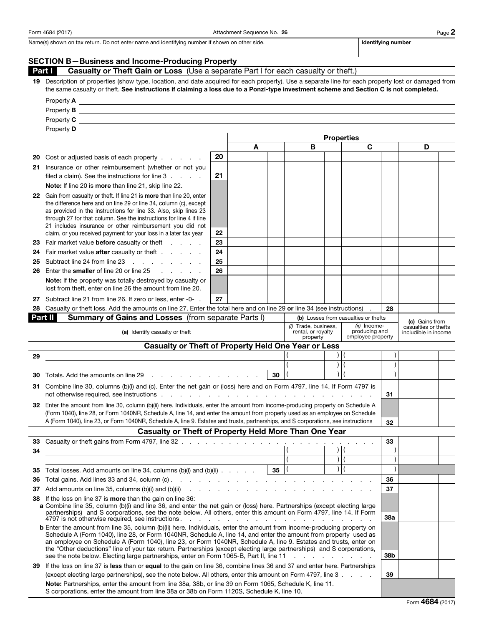Form 4684 (2017) Page 2 and Attachment Sequence No. 26 and 26 Page 2

Name(s) shown on tax return. Do not enter name and identifying number if shown on other side. In the state of the interviewed and identifying number

|     | <b>SECTION B-Business and Income-Producing Property</b>                                                                                                                                                                                                                                                                                                                                                                                                                                                                                                                                                        |    |    |   |  |                                      |                                              |                |  |
|-----|----------------------------------------------------------------------------------------------------------------------------------------------------------------------------------------------------------------------------------------------------------------------------------------------------------------------------------------------------------------------------------------------------------------------------------------------------------------------------------------------------------------------------------------------------------------------------------------------------------------|----|----|---|--|--------------------------------------|----------------------------------------------|----------------|--|
|     | Casualty or Theft Gain or Loss (Use a separate Part I for each casualty or theft.)<br>Part I                                                                                                                                                                                                                                                                                                                                                                                                                                                                                                                   |    |    |   |  |                                      |                                              |                |  |
| 19  | Description of properties (show type, location, and date acquired for each property). Use a separate line for each property lost or damaged from<br>the same casualty or theft. See instructions if claiming a loss due to a Ponzi-type investment scheme and Section C is not completed.                                                                                                                                                                                                                                                                                                                      |    |    |   |  |                                      |                                              |                |  |
|     |                                                                                                                                                                                                                                                                                                                                                                                                                                                                                                                                                                                                                |    |    |   |  |                                      |                                              |                |  |
|     | Property <b>B</b>                                                                                                                                                                                                                                                                                                                                                                                                                                                                                                                                                                                              |    |    |   |  |                                      |                                              |                |  |
|     | Property $C \perp$                                                                                                                                                                                                                                                                                                                                                                                                                                                                                                                                                                                             |    |    |   |  |                                      |                                              |                |  |
|     |                                                                                                                                                                                                                                                                                                                                                                                                                                                                                                                                                                                                                |    |    |   |  |                                      |                                              |                |  |
|     |                                                                                                                                                                                                                                                                                                                                                                                                                                                                                                                                                                                                                |    |    |   |  |                                      |                                              |                |  |
|     |                                                                                                                                                                                                                                                                                                                                                                                                                                                                                                                                                                                                                |    | A  | В |  | C                                    |                                              | D              |  |
| 20  | Cost or adjusted basis of each property                                                                                                                                                                                                                                                                                                                                                                                                                                                                                                                                                                        | 20 |    |   |  |                                      |                                              |                |  |
| 21  | Insurance or other reimbursement (whether or not you                                                                                                                                                                                                                                                                                                                                                                                                                                                                                                                                                           |    |    |   |  |                                      |                                              |                |  |
|     | filed a claim). See the instructions for line 3                                                                                                                                                                                                                                                                                                                                                                                                                                                                                                                                                                | 21 |    |   |  |                                      |                                              |                |  |
|     | Note: If line 20 is more than line 21, skip line 22.                                                                                                                                                                                                                                                                                                                                                                                                                                                                                                                                                           |    |    |   |  |                                      |                                              |                |  |
|     | 22 Gain from casualty or theft. If line 21 is more than line 20, enter<br>the difference here and on line 29 or line 34, column (c), except<br>as provided in the instructions for line 33. Also, skip lines 23<br>through 27 for that column. See the instructions for line 4 if line<br>21 includes insurance or other reimbursement you did not<br>claim, or you received payment for your loss in a later tax year                                                                                                                                                                                         | 22 |    |   |  |                                      |                                              |                |  |
| 23  | Fair market value <b>before</b> casualty or theft                                                                                                                                                                                                                                                                                                                                                                                                                                                                                                                                                              | 23 |    |   |  |                                      |                                              |                |  |
| 24  | Fair market value <b>after</b> casualty or theft                                                                                                                                                                                                                                                                                                                                                                                                                                                                                                                                                               | 24 |    |   |  |                                      |                                              |                |  |
| 25  | Subtract line 24 from line 23                                                                                                                                                                                                                                                                                                                                                                                                                                                                                                                                                                                  | 25 |    |   |  |                                      |                                              |                |  |
| 26  | Enter the smaller of line 20 or line 25<br>$\sim$ $\sim$ $\sim$ $\sim$ $\sim$ $\sim$                                                                                                                                                                                                                                                                                                                                                                                                                                                                                                                           | 26 |    |   |  |                                      |                                              |                |  |
|     | <b>Note:</b> If the property was totally destroyed by casualty or<br>lost from theft, enter on line 26 the amount from line 20.                                                                                                                                                                                                                                                                                                                                                                                                                                                                                |    |    |   |  |                                      |                                              |                |  |
| 27  | Subtract line 21 from line 26. If zero or less, enter -0- .                                                                                                                                                                                                                                                                                                                                                                                                                                                                                                                                                    | 27 |    |   |  |                                      |                                              |                |  |
| 28  | Casualty or theft loss. Add the amounts on line 27. Enter the total here and on line 29 or line 34 (see instructions)                                                                                                                                                                                                                                                                                                                                                                                                                                                                                          |    |    |   |  |                                      | 28                                           |                |  |
|     | Part II<br>Summary of Gains and Losses (from separate Parts I)                                                                                                                                                                                                                                                                                                                                                                                                                                                                                                                                                 |    |    |   |  | (b) Losses from casualties or thefts |                                              | (c) Gains from |  |
|     | (i) Trade, business,<br>(ii) Income-<br>producing and<br>(a) Identify casualty or theft<br>rental, or royalty<br>employee property<br>property                                                                                                                                                                                                                                                                                                                                                                                                                                                                 |    |    |   |  |                                      | casualties or thefts<br>includible in income |                |  |
|     | <b>Casualty or Theft of Property Held One Year or Less</b>                                                                                                                                                                                                                                                                                                                                                                                                                                                                                                                                                     |    |    |   |  |                                      |                                              |                |  |
| 29  |                                                                                                                                                                                                                                                                                                                                                                                                                                                                                                                                                                                                                |    |    |   |  |                                      |                                              |                |  |
|     |                                                                                                                                                                                                                                                                                                                                                                                                                                                                                                                                                                                                                |    |    |   |  |                                      |                                              |                |  |
| 30  | Totals. Add the amounts on line 29 and the state of the state of the state of the state of the state of the state of the state of the state of the state of the state of the state of the state of the state of the state of t                                                                                                                                                                                                                                                                                                                                                                                 |    | 30 |   |  |                                      |                                              |                |  |
| 31  | Combine line 30, columns (b)(i) and (c). Enter the net gain or (loss) here and on Form 4797, line 14. If Form 4797 is<br>not otherwise required, see instructions enter the contract of the contract of the contract of the contract of                                                                                                                                                                                                                                                                                                                                                                        |    |    |   |  |                                      | 31                                           |                |  |
|     | 32 Enter the amount from line 30, column (b)(ii) here. Individuals, enter the amount from income-producing property on Schedule A<br>(Form 1040), line 28, or Form 1040NR, Schedule A, line 14, and enter the amount from property used as an employee on Schedule                                                                                                                                                                                                                                                                                                                                             |    |    |   |  |                                      |                                              |                |  |
|     | A (Form 1040), line 23, or Form 1040NR, Schedule A, line 9. Estates and trusts, partnerships, and S corporations, see instructions                                                                                                                                                                                                                                                                                                                                                                                                                                                                             |    |    |   |  |                                      | 32                                           |                |  |
|     | <b>Casualty or Theft of Property Held More Than One Year</b>                                                                                                                                                                                                                                                                                                                                                                                                                                                                                                                                                   |    |    |   |  |                                      |                                              |                |  |
|     |                                                                                                                                                                                                                                                                                                                                                                                                                                                                                                                                                                                                                |    |    |   |  |                                      | 33                                           |                |  |
| 34  |                                                                                                                                                                                                                                                                                                                                                                                                                                                                                                                                                                                                                |    |    |   |  |                                      |                                              |                |  |
|     |                                                                                                                                                                                                                                                                                                                                                                                                                                                                                                                                                                                                                |    |    |   |  | $\vert$ (                            |                                              |                |  |
| 35  | Total losses. Add amounts on line 34, columns (b)(i) and (b)(ii) $\ldots$ $\ldots$   35   (                                                                                                                                                                                                                                                                                                                                                                                                                                                                                                                    |    |    |   |  | $\vert$ (                            |                                              |                |  |
| 36  |                                                                                                                                                                                                                                                                                                                                                                                                                                                                                                                                                                                                                |    |    |   |  |                                      | 36                                           |                |  |
|     | 37 Add amounts on line 35, columns (b)(i) and (b)(ii) $\therefore$ $\therefore$ $\therefore$ $\therefore$ $\therefore$ $\therefore$ $\therefore$ $\therefore$ $\therefore$ $\therefore$ $\therefore$ $\therefore$ $\therefore$ $\therefore$ $\therefore$ $\therefore$ $\therefore$ $\therefore$ $\therefore$ $\therefore$ $\therefore$ $\therefore$ $\therefore$ $\therefore$ $\therefore$ $\therefore$ $\therefore$ $\therefore$                                                                                                                                                                              |    |    |   |  |                                      | 37                                           |                |  |
|     | If the loss on line 37 is <b>more</b> than the gain on line 36:<br>38<br>a Combine line 35, column (b)(i) and line 36, and enter the net gain or (loss) here. Partnerships (except electing large<br>partnerships) and S corporations, see the note below. All others, enter this amount on Form 4797, line 14. If Form<br>4797 is not otherwise required, see instructions.<br>and a company of the company of the company of the company of the company of the company of the company of the company of the company of the company of the company of the company of the company of the company of the compan |    |    |   |  |                                      | 38a                                          |                |  |
|     | <b>b</b> Enter the amount from line 35, column (b)(ii) here. Individuals, enter the amount from income-producing property on<br>Schedule A (Form 1040), line 28, or Form 1040NR, Schedule A, line 14, and enter the amount from property used as<br>an employee on Schedule A (Form 1040), line 23, or Form 1040NR, Schedule A, line 9. Estates and trusts, enter on<br>the "Other deductions" line of your tax return. Partnerships (except electing large partnerships) and S corporations,<br>see the note below. Electing large partnerships, enter on Form 1065-B, Part II, line 11                       |    |    |   |  | the contract of the contract of the  | 38b                                          |                |  |
| 39. | If the loss on line 37 is less than or equal to the gain on line 36, combine lines 36 and 37 and enter here. Partnerships                                                                                                                                                                                                                                                                                                                                                                                                                                                                                      |    |    |   |  |                                      |                                              |                |  |
|     | (except electing large partnerships), see the note below. All others, enter this amount on Form 4797, line 3.                                                                                                                                                                                                                                                                                                                                                                                                                                                                                                  |    |    |   |  |                                      | 39                                           |                |  |
|     | Note: Partnerships, enter the amount from line 38a, 38b, or line 39 on Form 1065, Schedule K, line 11.<br>S corporations, enter the amount from line 38a or 38b on Form 1120S, Schedule K, line 10.                                                                                                                                                                                                                                                                                                                                                                                                            |    |    |   |  |                                      |                                              |                |  |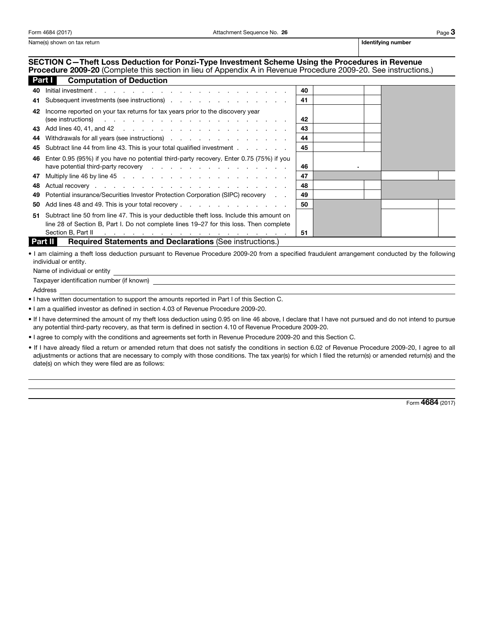Name(s) shown on tax return is a state of the state of the state of the state of the state of the state of the state of the state of the state of the state of the state of the state of the state of the state of the state o

## SECTION C—Theft Loss Deduction for Ponzi-Type Investment Scheme Using the Procedures in Revenue

Procedure 2009-20 (Complete this section in lieu of Appendix A in Revenue Procedure 2009-20. See instructions.) **Computation of Deduction** 

|    | Part III<br>Computation of Dequation                                                                                    |    |  |  |
|----|-------------------------------------------------------------------------------------------------------------------------|----|--|--|
| 40 | Initial investment.                                                                                                     | 40 |  |  |
|    | 41 Subsequent investments (see instructions)                                                                            | 41 |  |  |
| 42 | Income reported on your tax returns for tax years prior to the discovery year                                           |    |  |  |
|    | (see instructions) $\cdots$ $\cdots$ $\cdots$ $\cdots$ $\cdots$ $\cdots$ $\cdots$ $\cdots$ $\cdots$                     | 42 |  |  |
|    |                                                                                                                         | 43 |  |  |
|    | 44 Withdrawals for all years (see instructions) extending the state of the Withdrawals for all years (see instructions) | 44 |  |  |
|    | 45 Subtract line 44 from line 43. This is your total qualified investment                                               | 45 |  |  |
|    | 46 Enter 0.95 (95%) if you have no potential third-party recovery. Enter 0.75 (75%) if you                              |    |  |  |
|    | have potential third-party recovery                                                                                     | 46 |  |  |
|    |                                                                                                                         | 47 |  |  |
|    |                                                                                                                         | 48 |  |  |
| 49 | Potential insurance/Securities Investor Protection Corporation (SIPC) recovery                                          | 49 |  |  |
| 50 | Add lines 48 and 49. This is your total recovery                                                                        | 50 |  |  |
|    | 51 Subtract line 50 from line 47. This is your deductible theft loss. Include this amount on                            |    |  |  |
|    | line 28 of Section B, Part I. Do not complete lines 19–27 for this loss. Then complete                                  |    |  |  |
|    | Section B, Part II $\cdots$ $\cdots$ $\cdots$ $\cdots$ $\cdots$ $\cdots$ $\cdots$ $\cdots$ $\cdots$ $\cdots$            | 51 |  |  |

**Part II** Required Statements and Declarations (See instructions.)

• I am claiming a theft loss deduction pursuant to Revenue Procedure 2009-20 from a specified fraudulent arrangement conducted by the following individual or entity.

Name of individual or entity

Taxpayer identification number (if known)

Address

• I have written documentation to support the amounts reported in Part I of this Section C.

• I am a qualified investor as defined in section 4.03 of Revenue Procedure 2009-20.

• If I have determined the amount of my theft loss deduction using 0.95 on line 46 above, I declare that I have not pursued and do not intend to pursue any potential third-party recovery, as that term is defined in section 4.10 of Revenue Procedure 2009-20.

• I agree to comply with the conditions and agreements set forth in Revenue Procedure 2009-20 and this Section C.

• If I have already filed a return or amended return that does not satisfy the conditions in section 6.02 of Revenue Procedure 2009-20, I agree to all adjustments or actions that are necessary to comply with those conditions. The tax year(s) for which I filed the return(s) or amended return(s) and the date(s) on which they were filed are as follows:

Form 4684 (2017)